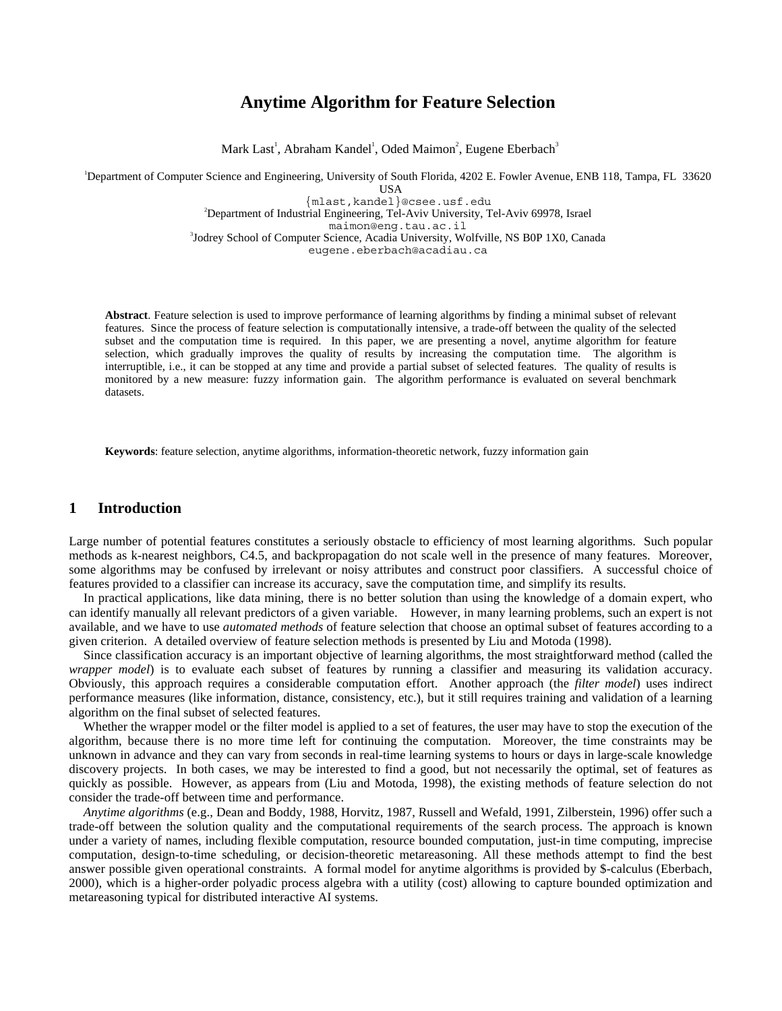# **Anytime Algorithm for Feature Selection**

Mark Last<sup>1</sup>, Abraham Kandel<sup>1</sup>, Oded Maimon<sup>2</sup>, Eugene Eberbach<sup>3</sup>

1 Department of Computer Science and Engineering, University of South Florida, 4202 E. Fowler Avenue, ENB 118, Tampa, FL 33620

**USA** 

{mlast,kandel}@csee.usf.edu <sup>2</sup> Department of Industrial Engineering, Tel-Aviv University, Tel-Aviv 69978, Israel maimon@eng.tau.ac.il <sup>3</sup> Jodrey School of Computer Science, Acadia University, Wolfville, NS B0P 1X0, Canada eugene.eberbach@acadiau.ca

**Abstract**. Feature selection is used to improve performance of learning algorithms by finding a minimal subset of relevant features. Since the process of feature selection is computationally intensive, a trade-off between the quality of the selected subset and the computation time is required. In this paper, we are presenting a novel, anytime algorithm for feature selection, which gradually improves the quality of results by increasing the computation time. The algorithm is interruptible, i.e., it can be stopped at any time and provide a partial subset of selected features. The quality of results is monitored by a new measure: fuzzy information gain. The algorithm performance is evaluated on several benchmark datasets.

**Keywords**: feature selection, anytime algorithms, information-theoretic network, fuzzy information gain

### **1 Introduction**

Large number of potential features constitutes a seriously obstacle to efficiency of most learning algorithms. Such popular methods as k-nearest neighbors, C4.5, and backpropagation do not scale well in the presence of many features. Moreover, some algorithms may be confused by irrelevant or noisy attributes and construct poor classifiers. A successful choice of features provided to a classifier can increase its accuracy, save the computation time, and simplify its results.

In practical applications, like data mining, there is no better solution than using the knowledge of a domain expert, who can identify manually all relevant predictors of a given variable. However, in many learning problems, such an expert is not available, and we have to use *automated methods* of feature selection that choose an optimal subset of features according to a given criterion. A detailed overview of feature selection methods is presented by Liu and Motoda (1998).

Since classification accuracy is an important objective of learning algorithms, the most straightforward method (called the *wrapper model*) is to evaluate each subset of features by running a classifier and measuring its validation accuracy. Obviously, this approach requires a considerable computation effort. Another approach (the *filter model*) uses indirect performance measures (like information, distance, consistency, etc.), but it still requires training and validation of a learning algorithm on the final subset of selected features.

Whether the wrapper model or the filter model is applied to a set of features, the user may have to stop the execution of the algorithm, because there is no more time left for continuing the computation. Moreover, the time constraints may be unknown in advance and they can vary from seconds in real-time learning systems to hours or days in large-scale knowledge discovery projects. In both cases, we may be interested to find a good, but not necessarily the optimal, set of features as quickly as possible. However, as appears from (Liu and Motoda, 1998), the existing methods of feature selection do not consider the trade-off between time and performance.

*Anytime algorithms* (e.g., Dean and Boddy, 1988, Horvitz, 1987, Russell and Wefald, 1991, Zilberstein, 1996) offer such a trade-off between the solution quality and the computational requirements of the search process. The approach is known under a variety of names, including flexible computation, resource bounded computation, just-in time computing, imprecise computation, design-to-time scheduling, or decision-theoretic metareasoning. All these methods attempt to find the best answer possible given operational constraints. A formal model for anytime algorithms is provided by \$-calculus (Eberbach, 2000), which is a higher-order polyadic process algebra with a utility (cost) allowing to capture bounded optimization and metareasoning typical for distributed interactive AI systems.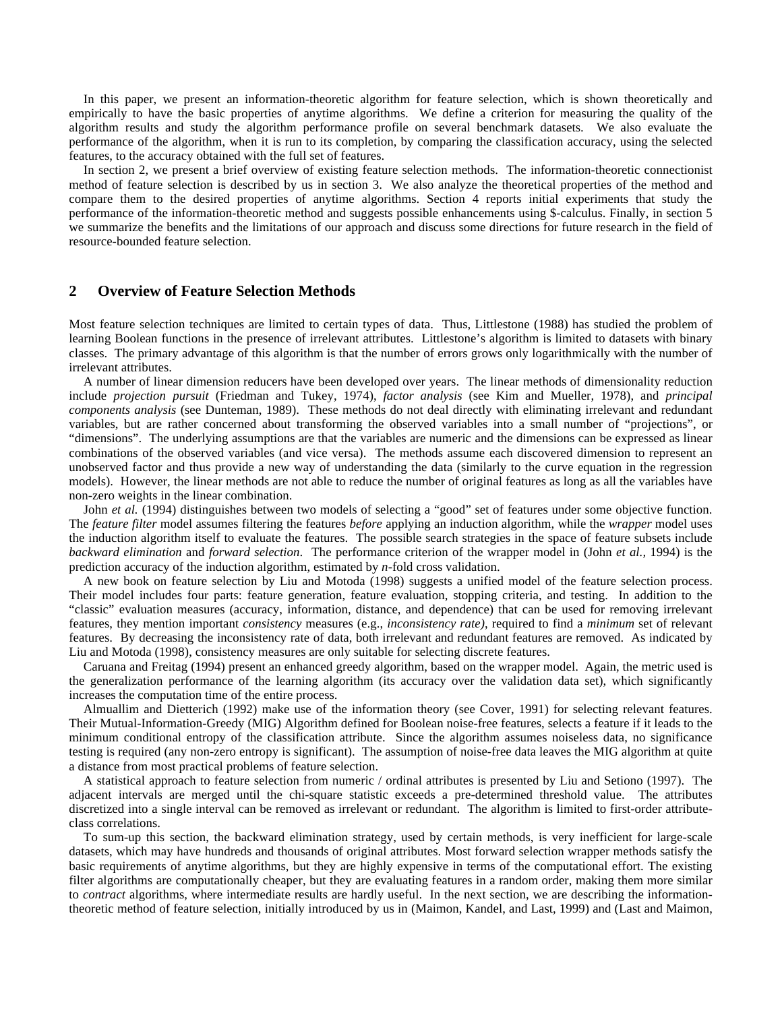In this paper, we present an information-theoretic algorithm for feature selection, which is shown theoretically and empirically to have the basic properties of anytime algorithms. We define a criterion for measuring the quality of the algorithm results and study the algorithm performance profile on several benchmark datasets. We also evaluate the performance of the algorithm, when it is run to its completion, by comparing the classification accuracy, using the selected features, to the accuracy obtained with the full set of features.

In section 2, we present a brief overview of existing feature selection methods. The information-theoretic connectionist method of feature selection is described by us in section 3. We also analyze the theoretical properties of the method and compare them to the desired properties of anytime algorithms. Section 4 reports initial experiments that study the performance of the information-theoretic method and suggests possible enhancements using \$-calculus. Finally, in section 5 we summarize the benefits and the limitations of our approach and discuss some directions for future research in the field of resource-bounded feature selection.

### **2 Overview of Feature Selection Methods**

Most feature selection techniques are limited to certain types of data. Thus, Littlestone (1988) has studied the problem of learning Boolean functions in the presence of irrelevant attributes. Littlestone's algorithm is limited to datasets with binary classes. The primary advantage of this algorithm is that the number of errors grows only logarithmically with the number of irrelevant attributes.

A number of linear dimension reducers have been developed over years. The linear methods of dimensionality reduction include *projection pursuit* (Friedman and Tukey, 1974), *factor analysis* (see Kim and Mueller, 1978), and *principal components analysis* (see Dunteman, 1989). These methods do not deal directly with eliminating irrelevant and redundant variables, but are rather concerned about transforming the observed variables into a small number of "projections", or "dimensions". The underlying assumptions are that the variables are numeric and the dimensions can be expressed as linear combinations of the observed variables (and vice versa). The methods assume each discovered dimension to represent an unobserved factor and thus provide a new way of understanding the data (similarly to the curve equation in the regression models). However, the linear methods are not able to reduce the number of original features as long as all the variables have non-zero weights in the linear combination.

John *et al.* (1994) distinguishes between two models of selecting a "good" set of features under some objective function. The *feature filter* model assumes filtering the features *before* applying an induction algorithm, while the *wrapper* model uses the induction algorithm itself to evaluate the features. The possible search strategies in the space of feature subsets include *backward elimination* and *forward selection*. The performance criterion of the wrapper model in (John *et al.,* 1994) is the prediction accuracy of the induction algorithm, estimated by *n*-fold cross validation.

A new book on feature selection by Liu and Motoda (1998) suggests a unified model of the feature selection process. Their model includes four parts: feature generation, feature evaluation, stopping criteria, and testing. In addition to the "classic" evaluation measures (accuracy, information, distance, and dependence) that can be used for removing irrelevant features, they mention important *consistency* measures (e.g., *inconsistency rate)*, required to find a *minimum* set of relevant features. By decreasing the inconsistency rate of data, both irrelevant and redundant features are removed. As indicated by Liu and Motoda (1998), consistency measures are only suitable for selecting discrete features.

Caruana and Freitag (1994) present an enhanced greedy algorithm, based on the wrapper model. Again, the metric used is the generalization performance of the learning algorithm (its accuracy over the validation data set), which significantly increases the computation time of the entire process.

Almuallim and Dietterich (1992) make use of the information theory (see Cover, 1991) for selecting relevant features. Their Mutual-Information-Greedy (MIG) Algorithm defined for Boolean noise-free features, selects a feature if it leads to the minimum conditional entropy of the classification attribute. Since the algorithm assumes noiseless data, no significance testing is required (any non-zero entropy is significant). The assumption of noise-free data leaves the MIG algorithm at quite a distance from most practical problems of feature selection.

A statistical approach to feature selection from numeric / ordinal attributes is presented by Liu and Setiono (1997). The adjacent intervals are merged until the chi-square statistic exceeds a pre-determined threshold value. The attributes discretized into a single interval can be removed as irrelevant or redundant. The algorithm is limited to first-order attributeclass correlations.

To sum-up this section, the backward elimination strategy, used by certain methods, is very inefficient for large-scale datasets, which may have hundreds and thousands of original attributes. Most forward selection wrapper methods satisfy the basic requirements of anytime algorithms, but they are highly expensive in terms of the computational effort. The existing filter algorithms are computationally cheaper, but they are evaluating features in a random order, making them more similar to *contract* algorithms, where intermediate results are hardly useful. In the next section, we are describing the informationtheoretic method of feature selection, initially introduced by us in (Maimon, Kandel, and Last, 1999) and (Last and Maimon,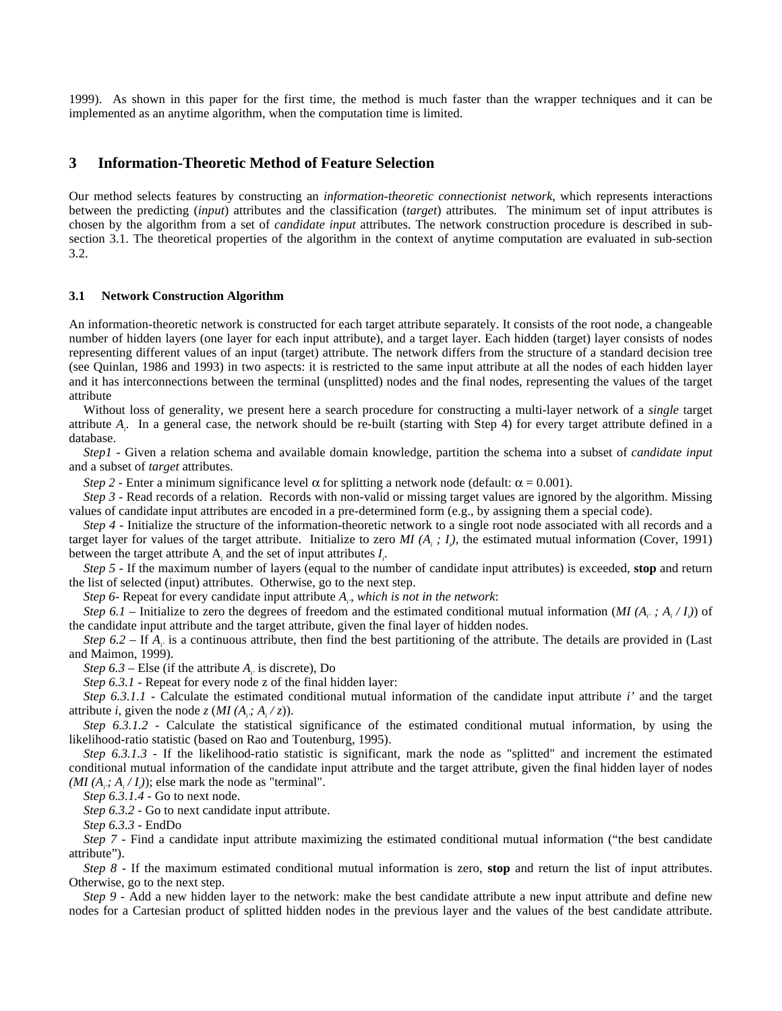1999). As shown in this paper for the first time, the method is much faster than the wrapper techniques and it can be implemented as an anytime algorithm, when the computation time is limited.

### **3 Information-Theoretic Method of Feature Selection**

Our method selects features by constructing an *information-theoretic connectionist network*, which represents interactions between the predicting (*input*) attributes and the classification (*target*) attributes. The minimum set of input attributes is chosen by the algorithm from a set of *candidate input* attributes. The network construction procedure is described in subsection 3.1. The theoretical properties of the algorithm in the context of anytime computation are evaluated in sub-section 3.2.

#### **3.1 Network Construction Algorithm**

An information-theoretic network is constructed for each target attribute separately. It consists of the root node, a changeable number of hidden layers (one layer for each input attribute), and a target layer. Each hidden (target) layer consists of nodes representing different values of an input (target) attribute. The network differs from the structure of a standard decision tree (see Quinlan, 1986 and 1993) in two aspects: it is restricted to the same input attribute at all the nodes of each hidden layer and it has interconnections between the terminal (unsplitted) nodes and the final nodes, representing the values of the target attribute

Without loss of generality, we present here a search procedure for constructing a multi-layer network of a *single* target attribute *Ai* . In a general case, the network should be re-built (starting with Step 4) for every target attribute defined in a database.

*Step1 -* Given a relation schema and available domain knowledge, partition the schema into a subset of *candidate input* and a subset of *target* attributes.

*Step 2 - Enter a minimum significance level*  $\alpha$  *for splitting a network node (default:*  $\alpha = 0.001$ *).* 

*Step 3 -* Read records of a relation. Records with non-valid or missing target values are ignored by the algorithm. Missing values of candidate input attributes are encoded in a pre-determined form (e.g., by assigning them a special code).

*Step 4* - Initialize the structure of the information-theoretic network to a single root node associated with all records and a target layer for values of the target attribute. Initialize to zero  $MI(A_i; I_i)$ , the estimated mutual information (Cover, 1991) between the target attribute  $A_i$  and the set of input attributes  $I_i$ .

*Step 5 -* If the maximum number of layers (equal to the number of candidate input attributes) is exceeded, **stop** and return the list of selected (input) attributes. Otherwise, go to the next step.

*Step 6-* Repeat for every candidate input attribute *Ai'*, *which is not in the network*:

*Step 6.1* – Initialize to zero the degrees of freedom and the estimated conditional mutual information (*MI* ( $A_i$ , ;  $A_i / I_i$ )) of the candidate input attribute and the target attribute, given the final layer of hidden nodes.

*Step 6.2 – If A<sub>i</sub>* is a continuous attribute, then find the best partitioning of the attribute. The details are provided in (Last and Maimon, 1999).

*Step 6.3* – Else (if the attribute  $A_i$  is discrete), Do

*Step 6.3.1* - Repeat for every node z of the final hidden layer:

*Step 6.3.1.1 -* Calculate the estimated conditional mutual information of the candidate input attribute *i'* and the target attribute *i*, given the node *z* (*MI* ( $A_i$ ;  $A_i$  / *z*)).

*Step 6.3.1.2 -* Calculate the statistical significance of the estimated conditional mutual information, by using the likelihood-ratio statistic (based on Rao and Toutenburg, 1995).

*Step 6.3.1.3 - If the likelihood-ratio statistic is significant, mark the node as "splitted" and increment the estimated* conditional mutual information of the candidate input attribute and the target attribute, given the final hidden layer of nodes  $(MI(A_i; A_i/I_i))$ ; else mark the node as "terminal".

*Step 6.3.1.4* - Go to next node.

*Step 6.3.2* - Go to next candidate input attribute.

*Step 6.3.3* - EndDo

*Step 7 -* Find a candidate input attribute maximizing the estimated conditional mutual information ("the best candidate attribute").

*Step 8 -* If the maximum estimated conditional mutual information is zero, **stop** and return the list of input attributes. Otherwise, go to the next step.

*Step 9 -* Add a new hidden layer to the network: make the best candidate attribute a new input attribute and define new nodes for a Cartesian product of splitted hidden nodes in the previous layer and the values of the best candidate attribute.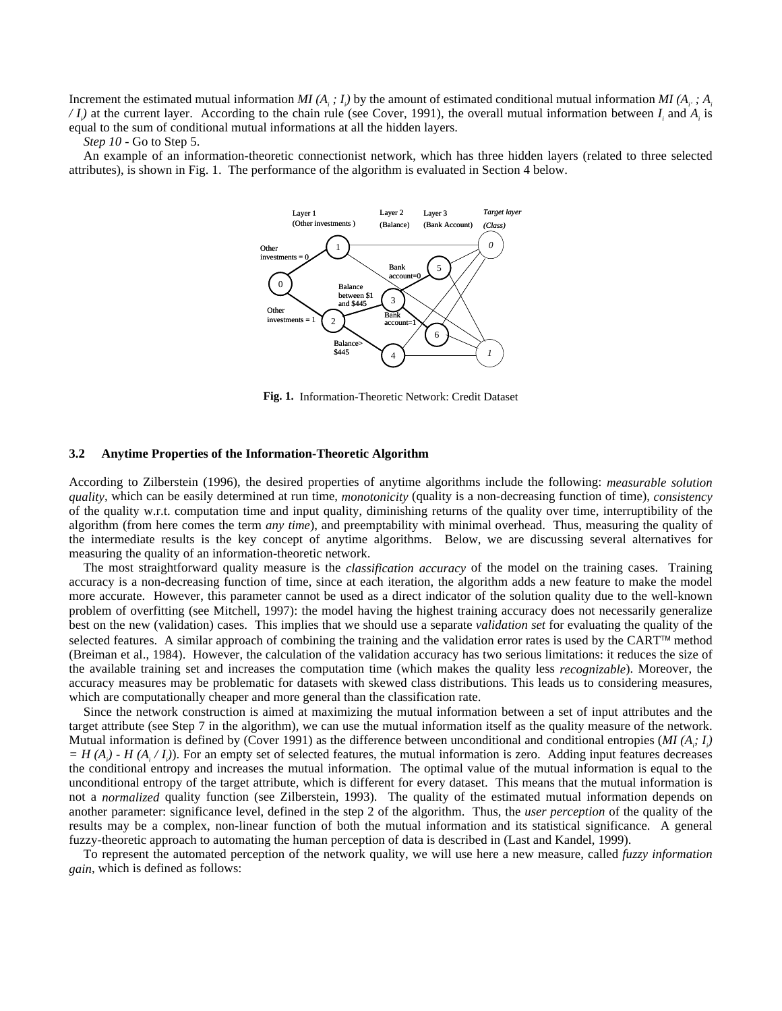Increment the estimated mutual information *MI* ( $A_i$ ;  $I_i$ ) by the amount of estimated conditional mutual information *MI* ( $A_i$ ;  $A_i$  $\langle I_i \rangle$  at the current layer. According to the chain rule (see Cover, 1991), the overall mutual information between  $I_i$  and  $A_i$  is equal to the sum of conditional mutual informations at all the hidden layers.

#### *Step 10* - Go to Step 5.

An example of an information-theoretic connectionist network, which has three hidden layers (related to three selected attributes), is shown in Fig. 1. The performance of the algorithm is evaluated in Section 4 below.



**Fig. 1.** Information-Theoretic Network: Credit Dataset

#### **3.2 Anytime Properties of the Information-Theoretic Algorithm**

According to Zilberstein (1996), the desired properties of anytime algorithms include the following: *measurable solution quality*, which can be easily determined at run time, *monotonicity* (quality is a non-decreasing function of time), *consistency* of the quality w.r.t. computation time and input quality, diminishing returns of the quality over time, interruptibility of the algorithm (from here comes the term *any time*), and preemptability with minimal overhead. Thus, measuring the quality of the intermediate results is the key concept of anytime algorithms. Below, we are discussing several alternatives for measuring the quality of an information-theoretic network.

The most straightforward quality measure is the *classification accuracy* of the model on the training cases. Training accuracy is a non-decreasing function of time, since at each iteration, the algorithm adds a new feature to make the model more accurate. However, this parameter cannot be used as a direct indicator of the solution quality due to the well-known problem of overfitting (see Mitchell, 1997): the model having the highest training accuracy does not necessarily generalize best on the new (validation) cases. This implies that we should use a separate *validation set* for evaluating the quality of the selected features. A similar approach of combining the training and the validation error rates is used by the CART<sup>M</sup> method (Breiman et al., 1984). However, the calculation of the validation accuracy has two serious limitations: it reduces the size of the available training set and increases the computation time (which makes the quality less *recognizable*). Moreover, the accuracy measures may be problematic for datasets with skewed class distributions. This leads us to considering measures, which are computationally cheaper and more general than the classification rate.

Since the network construction is aimed at maximizing the mutual information between a set of input attributes and the target attribute (see Step 7 in the algorithm), we can use the mutual information itself as the quality measure of the network. Mutual information is defined by (Cover 1991) as the difference between unconditional and conditional entropies (*MI* (*A<sub>i</sub>*: *I<sub>i</sub>*)  $=$  *H*( $A_i$ ) - *H*( $A_i$ / $I_i$ )). For an empty set of selected features, the mutual information is zero. Adding input features decreases the conditional entropy and increases the mutual information. The optimal value of the mutual information is equal to the unconditional entropy of the target attribute, which is different for every dataset. This means that the mutual information is not a *normalized* quality function (see Zilberstein, 1993). The quality of the estimated mutual information depends on another parameter: significance level, defined in the step 2 of the algorithm. Thus, the *user perception* of the quality of the results may be a complex, non-linear function of both the mutual information and its statistical significance. A general fuzzy-theoretic approach to automating the human perception of data is described in (Last and Kandel, 1999).

To represent the automated perception of the network quality, we will use here a new measure, called *fuzzy information gain*, which is defined as follows: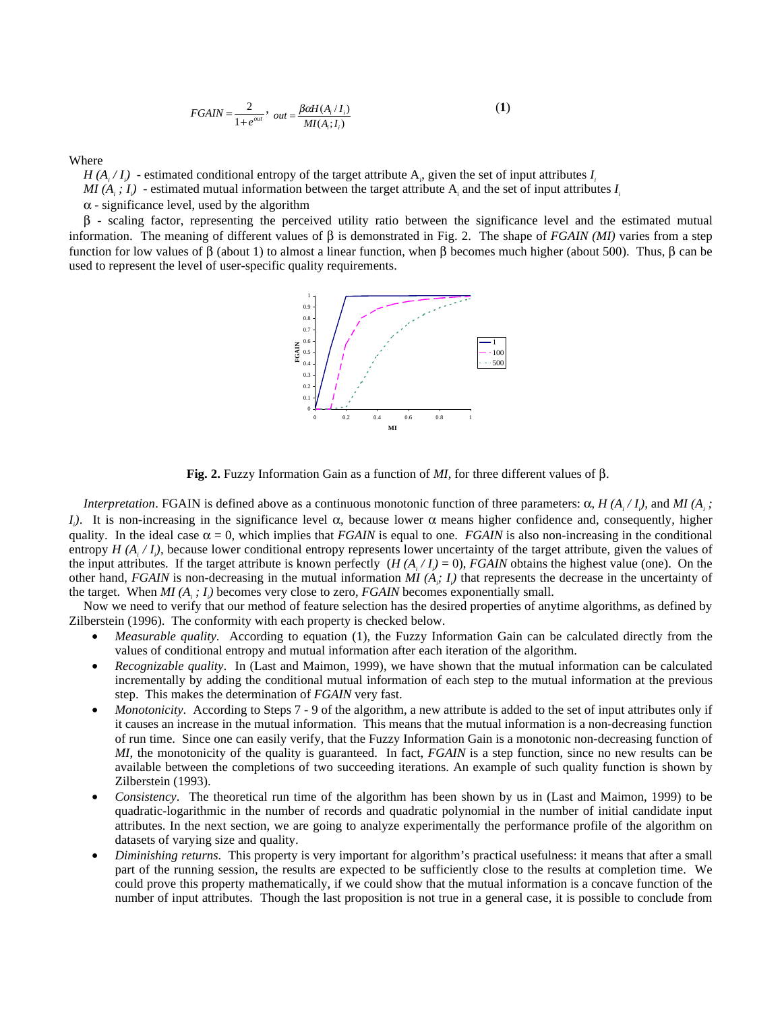$$
FGAIN = \frac{2}{1 + e^{out}}, \quad out = \frac{\beta \alpha H(A_i / I_i)}{M I(A_i; I_i)}
$$
(1)

Where

 $H(A_i/I_i)$  - estimated conditional entropy of the target attribute  $A_i$ , given the set of input attributes  $I_i$ 

*MI*  $(A_i; I_i)$  - estimated mutual information between the target attribute  $A_i$  and the set of input attributes  $I_i$ 

 $\alpha$  - significance level, used by the algorithm

β - scaling factor, representing the perceived utility ratio between the significance level and the estimated mutual information. The meaning of different values of β is demonstrated in Fig. 2. The shape of *FGAIN (MI)* varies from a step function for low values of β (about 1) to almost a linear function, when β becomes much higher (about 500). Thus, β can be used to represent the level of user-specific quality requirements.



**Fig. 2.** Fuzzy Information Gain as a function of *MI*, for three different values of β.

*Interpretation.* FGAIN is defined above as a continuous monotonic function of three parameters:  $\alpha$ ,  $H(A_i/I_i)$ , and  $MI(A_i;$ *I<sub>i</sub>*). It is non-increasing in the significance level α, because lower α means higher confidence and, consequently, higher quality. In the ideal case  $\alpha = 0$ , which implies that *FGAIN* is equal to one. *FGAIN* is also non-increasing in the conditional entropy  $H(A_i/I_i)$ , because lower conditional entropy represents lower uncertainty of the target attribute, given the values of the input attributes. If the target attribute is known perfectly  $(H(A_i / I_i) = 0)$ , *FGAIN* obtains the highest value (one). On the other hand, *FGAIN* is non-decreasing in the mutual information  $MI(A_i; I_i)$  that represents the decrease in the uncertainty of the target. When  $MI(A_i; I_i)$  becomes very close to zero,  $FGAIN$  becomes exponentially small.

Now we need to verify that our method of feature selection has the desired properties of anytime algorithms, as defined by Zilberstein (1996). The conformity with each property is checked below.

- *Measurable quality*. According to equation (1), the Fuzzy Information Gain can be calculated directly from the values of conditional entropy and mutual information after each iteration of the algorithm.
- *Recognizable quality*. In (Last and Maimon, 1999), we have shown that the mutual information can be calculated incrementally by adding the conditional mutual information of each step to the mutual information at the previous step. This makes the determination of *FGAIN* very fast.
- *Monotonicity*. According to Steps 7 9 of the algorithm, a new attribute is added to the set of input attributes only if it causes an increase in the mutual information. This means that the mutual information is a non-decreasing function of run time. Since one can easily verify, that the Fuzzy Information Gain is a monotonic non-decreasing function of *MI*, the monotonicity of the quality is guaranteed. In fact, *FGAIN* is a step function, since no new results can be available between the completions of two succeeding iterations. An example of such quality function is shown by Zilberstein (1993).
- *Consistency*. The theoretical run time of the algorithm has been shown by us in (Last and Maimon, 1999) to be quadratic-logarithmic in the number of records and quadratic polynomial in the number of initial candidate input attributes. In the next section, we are going to analyze experimentally the performance profile of the algorithm on datasets of varying size and quality.
- *Diminishing returns*. This property is very important for algorithm's practical usefulness: it means that after a small part of the running session, the results are expected to be sufficiently close to the results at completion time. We could prove this property mathematically, if we could show that the mutual information is a concave function of the number of input attributes. Though the last proposition is not true in a general case, it is possible to conclude from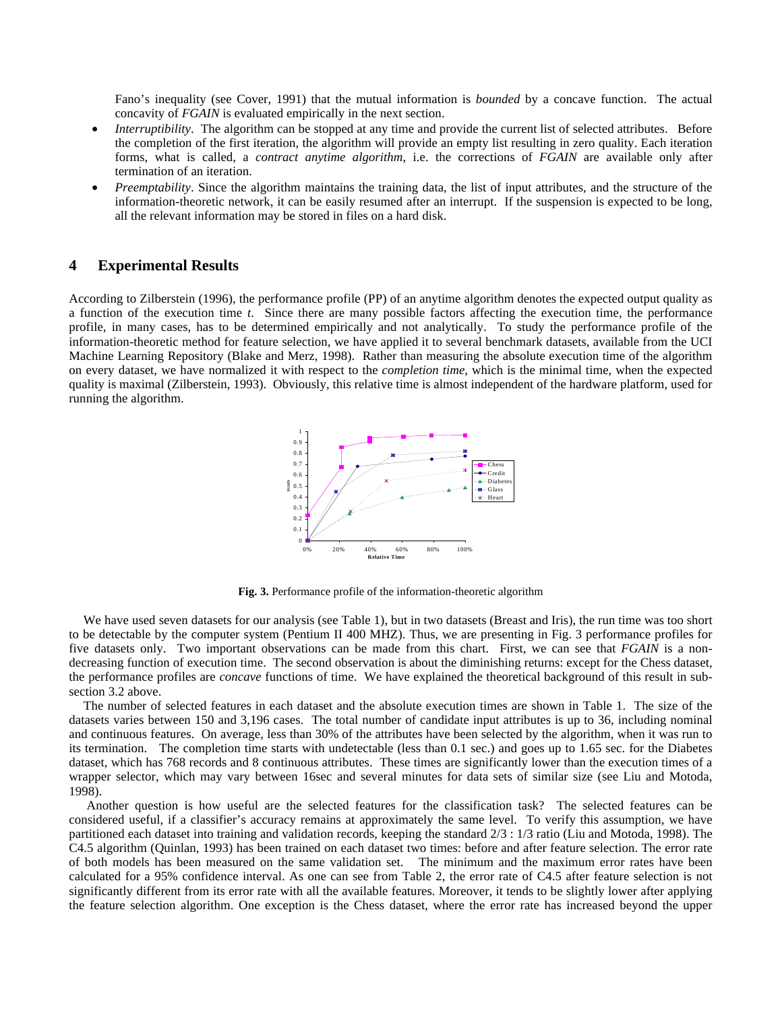Fano's inequality (see Cover, 1991) that the mutual information is *bounded* by a concave function. The actual concavity of *FGAIN* is evaluated empirically in the next section.

- *Interruptibility*. The algorithm can be stopped at any time and provide the current list of selected attributes. Before the completion of the first iteration, the algorithm will provide an empty list resulting in zero quality. Each iteration forms, what is called, a *contract anytime algorithm*, i.e. the corrections of *FGAIN* are available only after termination of an iteration.
- *Preemptability*. Since the algorithm maintains the training data, the list of input attributes, and the structure of the information-theoretic network, it can be easily resumed after an interrupt. If the suspension is expected to be long, all the relevant information may be stored in files on a hard disk.

### **4 Experimental Results**

According to Zilberstein (1996), the performance profile (PP) of an anytime algorithm denotes the expected output quality as a function of the execution time *t*. Since there are many possible factors affecting the execution time, the performance profile, in many cases, has to be determined empirically and not analytically. To study the performance profile of the information-theoretic method for feature selection, we have applied it to several benchmark datasets, available from the UCI Machine Learning Repository (Blake and Merz, 1998). Rather than measuring the absolute execution time of the algorithm on every dataset, we have normalized it with respect to the *completion time*, which is the minimal time, when the expected quality is maximal (Zilberstein, 1993). Obviously, this relative time is almost independent of the hardware platform, used for running the algorithm.



**Fig. 3.** Performance profile of the information-theoretic algorithm

We have used seven datasets for our analysis (see Table 1), but in two datasets (Breast and Iris), the run time was too short to be detectable by the computer system (Pentium II 400 MHZ). Thus, we are presenting in Fig. 3 performance profiles for five datasets only. Two important observations can be made from this chart. First, we can see that *FGAIN* is a nondecreasing function of execution time. The second observation is about the diminishing returns: except for the Chess dataset, the performance profiles are *concave* functions of time. We have explained the theoretical background of this result in subsection 3.2 above.

The number of selected features in each dataset and the absolute execution times are shown in Table 1. The size of the datasets varies between 150 and 3,196 cases. The total number of candidate input attributes is up to 36, including nominal and continuous features. On average, less than 30% of the attributes have been selected by the algorithm, when it was run to its termination. The completion time starts with undetectable (less than 0.1 sec.) and goes up to 1.65 sec. for the Diabetes dataset, which has 768 records and 8 continuous attributes. These times are significantly lower than the execution times of a wrapper selector, which may vary between 16sec and several minutes for data sets of similar size (see Liu and Motoda, 1998).

 Another question is how useful are the selected features for the classification task? The selected features can be considered useful, if a classifier's accuracy remains at approximately the same level. To verify this assumption, we have partitioned each dataset into training and validation records, keeping the standard 2/3 : 1/3 ratio (Liu and Motoda, 1998). The C4.5 algorithm (Quinlan, 1993) has been trained on each dataset two times: before and after feature selection. The error rate of both models has been measured on the same validation set. The minimum and the maximum error rates have been calculated for a 95% confidence interval. As one can see from Table 2, the error rate of C4.5 after feature selection is not significantly different from its error rate with all the available features. Moreover, it tends to be slightly lower after applying the feature selection algorithm. One exception is the Chess dataset, where the error rate has increased beyond the upper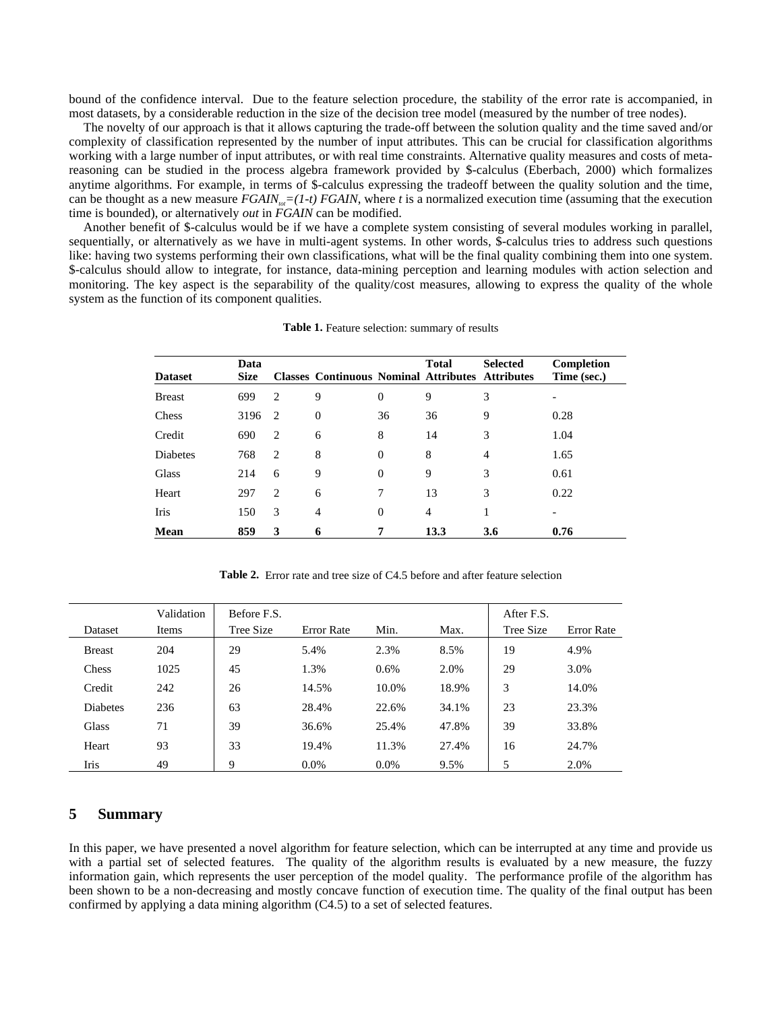bound of the confidence interval. Due to the feature selection procedure, the stability of the error rate is accompanied, in most datasets, by a considerable reduction in the size of the decision tree model (measured by the number of tree nodes).

The novelty of our approach is that it allows capturing the trade-off between the solution quality and the time saved and/or complexity of classification represented by the number of input attributes. This can be crucial for classification algorithms working with a large number of input attributes, or with real time constraints. Alternative quality measures and costs of metareasoning can be studied in the process algebra framework provided by \$-calculus (Eberbach, 2000) which formalizes anytime algorithms. For example, in terms of \$-calculus expressing the tradeoff between the quality solution and the time, can be thought as a new measure *FGAIN*<sub> $T=(1-t)$ </sub> *FGAIN*, where *t* is a normalized execution time (assuming that the execution time is bounded), or alternatively *out* in *FGAIN* can be modified.

Another benefit of \$-calculus would be if we have a complete system consisting of several modules working in parallel, sequentially, or alternatively as we have in multi-agent systems. In other words, \$-calculus tries to address such questions like: having two systems performing their own classifications, what will be the final quality combining them into one system. \$-calculus should allow to integrate, for instance, data-mining perception and learning modules with action selection and monitoring. The key aspect is the separability of the quality/cost measures, allowing to express the quality of the whole system as the function of its component qualities.

| <b>Dataset</b> | Data<br><b>Size</b> |                | <b>Classes Continuous Nominal Attributes Attributes</b> |                | <b>Total</b>   | <b>Selected</b> | Completion<br>Time (sec.) |
|----------------|---------------------|----------------|---------------------------------------------------------|----------------|----------------|-----------------|---------------------------|
| <b>Breast</b>  | 699                 | $\overline{c}$ | 9                                                       | $\overline{0}$ | 9              | 3               | -                         |
| Chess          | 3196                | 2              | $\overline{0}$                                          | 36             | 36             | 9               | 0.28                      |
| Credit         | 690                 | $\overline{2}$ | 6                                                       | 8              | 14             | 3               | 1.04                      |
| Diabetes       | 768                 | 2              | 8                                                       | $\overline{0}$ | 8              | $\overline{4}$  | 1.65                      |
| Glass          | 214                 | 6              | 9                                                       | $\Omega$       | 9              | 3               | 0.61                      |
| Heart          | 297                 | 2              | 6                                                       | 7              | 13             | 3               | 0.22                      |
| Iris           | 150                 | 3              | $\overline{4}$                                          | $\theta$       | $\overline{4}$ | 1               | -                         |
| Mean           | 859                 | 3              | 6                                                       | 7              | 13.3           | 3.6             | 0.76                      |

**Table 1.** Feature selection: summary of results

**Table 2.** Error rate and tree size of C4.5 before and after feature selection

|                 | Validation | Before F.S. |            | After F.S. |       |           |                   |
|-----------------|------------|-------------|------------|------------|-------|-----------|-------------------|
| Dataset         | Items      | Tree Size   | Error Rate | Min.       | Max.  | Tree Size | <b>Error</b> Rate |
| <b>Breast</b>   | 204        | 29          | 5.4%       | 2.3%       | 8.5%  | 19        | 4.9%              |
| Chess           | 1025       | 45          | 1.3%       | 0.6%       | 2.0%  | 29        | 3.0%              |
| Credit          | 242        | 26          | 14.5%      | 10.0%      | 18.9% | 3         | 14.0%             |
| <b>Diabetes</b> | 236        | 63          | 28.4%      | 22.6%      | 34.1% | 23        | 23.3%             |
| Glass           | 71         | 39          | 36.6%      | 25.4%      | 47.8% | 39        | 33.8%             |
| Heart           | 93         | 33          | 19.4%      | 11.3%      | 27.4% | 16        | 24.7%             |
| Iris            | 49         | 9           | $0.0\%$    | 0.0%       | 9.5%  | 5         | 2.0%              |

## **5 Summary**

In this paper, we have presented a novel algorithm for feature selection, which can be interrupted at any time and provide us with a partial set of selected features. The quality of the algorithm results is evaluated by a new measure, the fuzzy information gain, which represents the user perception of the model quality. The performance profile of the algorithm has been shown to be a non-decreasing and mostly concave function of execution time. The quality of the final output has been confirmed by applying a data mining algorithm (C4.5) to a set of selected features.